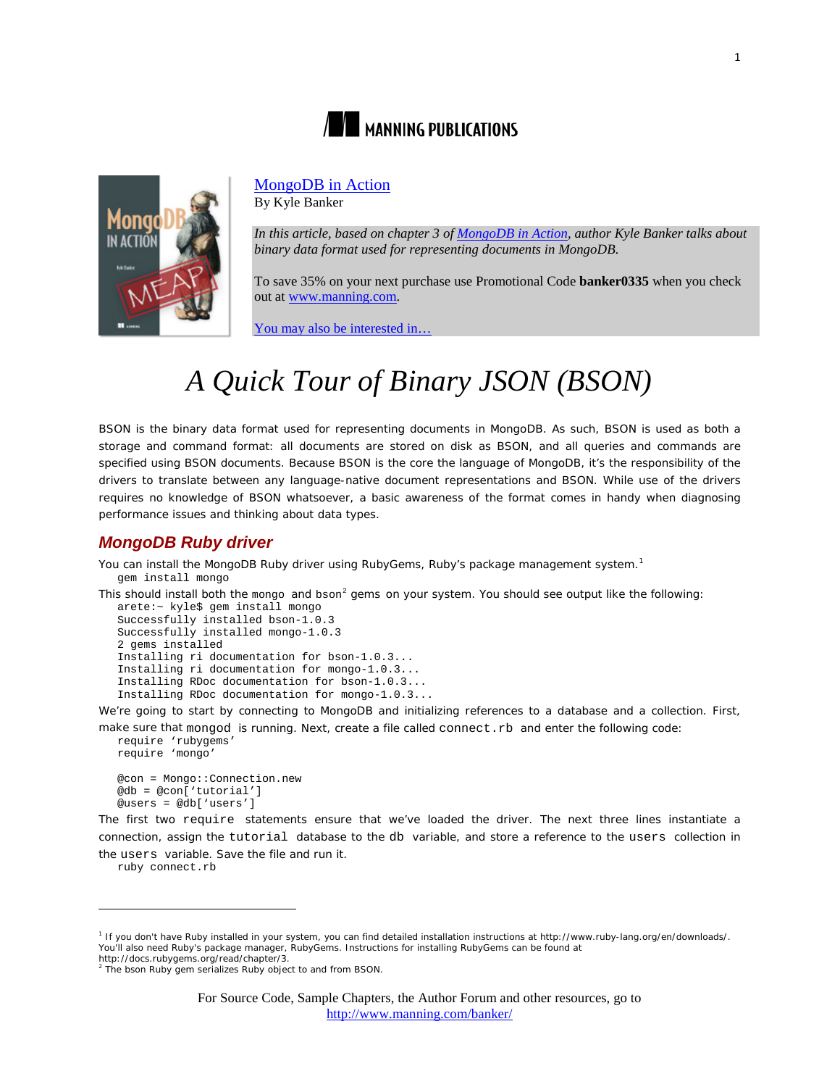



## [MongoDB in Action](http://www.manning.com/banker/)

By Kyle Banker

*In this article, based on chapter 3 of [MongoDB in Action,](http://www.manning.com/banker/) author Kyle Banker talks about binary data format used for representing documents in MongoDB.*

To save 35% on your next purchase use Promotional Code **banker0335** when you check out at www.manning.com.

[You may also be interested in…](#page-6-0)

# *A Quick Tour of Binary JSON (BSON)*

BSON is the binary data format used for representing documents in MongoDB. As such, BSON is used as both a storage and command format: all documents are stored on disk as BSON, and all queries and commands are specified using BSON documents. Because BSON is the core the language of MongoDB, it's the responsibility of the drivers to translate between any language-native document representations and BSON. While use of the drivers requires no knowledge of BSON whatsoever, a basic awareness of the format comes in handy when diagnosing performance issues and thinking about data types.

#### *MongoDB Ruby driver*

You can install the MongoDB Ruby driver using RubyGems, Ruby's package management system.<sup>[1](#page-0-0)</sup> gem install mongo

This should install both the mongo and bson<sup>[2](#page-0-1)</sup> gems on your system. You should see output like the following:

```
arete:~ kyle$ gem install mongo
Successfully installed bson-1.0.3
Successfully installed mongo-1.0.3
2 gems installed
Installing ri documentation for bson-1.0.3...
Installing ri documentation for mongo-1.0.3...
Installing RDoc documentation for bson-1.0.3...
Installing RDoc documentation for mongo-1.0.3...
```
We're going to start by connecting to MongoDB and initializing references to a database and a collection. First,

make sure that mongod is running. Next, create a file called connect.rb and enter the following code: require 'rubygems'

```
require 'mongo'
@con = Mongo::Connection.new
@db = @con['tutorial']
@users = @db['users']
```
The first two require statements ensure that we've loaded the driver. The next three lines instantiate a connection, assign the tutorial database to the db variable, and store a reference to the users collection in the users variable. Save the file and run it.

ruby connect.rb

 $\overline{a}$ 

<span id="page-0-0"></span><sup>1</sup> If you don't have Ruby installed in your system, you can find detailed installation instructions at http://www.ruby-lang.org/en/downloads/. You'll also need Ruby's package manager, RubyGems. Instructions for installing RubyGems can be found at

<span id="page-0-2"></span><span id="page-0-1"></span>http://docs.rubygems.org/read/chapter/3. <sup>2</sup> The bson Ruby gem serializes Ruby object to and from BSON.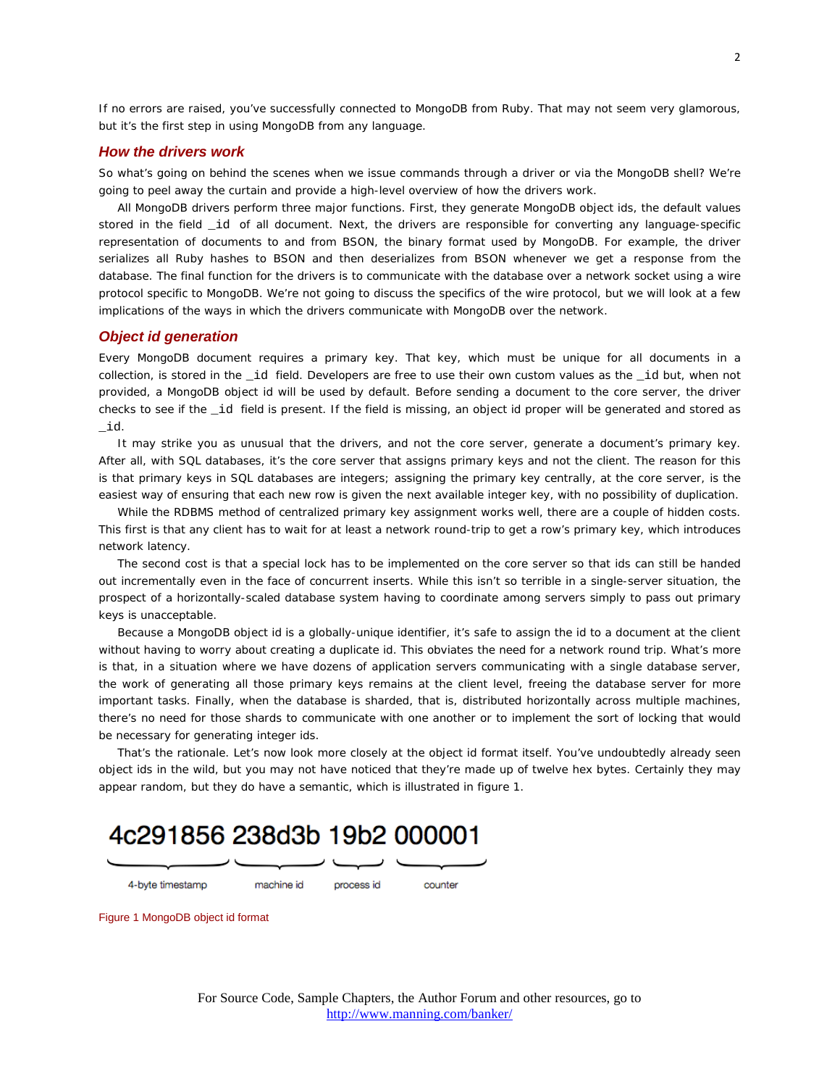If no errors are raised, you've successfully connected to MongoDB from Ruby. That may not seem very glamorous, but it's the first step in using MongoDB from any language.

#### *How the drivers work*

So what's going on behind the scenes when we issue commands through a driver or via the MongoDB shell? We're going to peel away the curtain and provide a high-level overview of how the drivers work.

All MongoDB drivers perform three major functions. First, they generate MongoDB object ids, the default values stored in the field \_id of all document. Next, the drivers are responsible for converting any language-specific representation of documents to and from BSON, the binary format used by MongoDB. For example, the driver serializes all Ruby hashes to BSON and then deserializes from BSON whenever we get a response from the database. The final function for the drivers is to communicate with the database over a network socket using a wire protocol specific to MongoDB. We're not going to discuss the specifics of the wire protocol, but we will look at a few implications of the ways in which the drivers communicate with MongoDB over the network.

#### *Object id generation*

Every MongoDB document requires a primary key. That key, which must be unique for all documents in a collection, is stored in the \_id field. Developers are free to use their own custom values as the \_id but, when not provided, a MongoDB object id will be used by default. Before sending a document to the core server, the driver checks to see if the \_id field is present. If the field is missing, an object id proper will be generated and stored as \_id.

It may strike you as unusual that the drivers, and not the core server, generate a document's primary key. After all, with SQL databases, it's the core server that assigns primary keys and not the client. The reason for this is that primary keys in SQL databases are integers; assigning the primary key centrally, at the core server, is the easiest way of ensuring that each new row is given the next available integer key, with no possibility of duplication.

While the RDBMS method of centralized primary key assignment works well, there are a couple of hidden costs. This first is that any client has to wait for at least a network round-trip to get a row's primary key, which introduces network latency.

The second cost is that a special lock has to be implemented on the core server so that ids can still be handed out incrementally even in the face of concurrent inserts. While this isn't so terrible in a single-server situation, the prospect of a horizontally-scaled database system having to coordinate among servers simply to pass out primary keys is unacceptable.

Because a MongoDB object id is a globally-unique identifier, it's safe to assign the id to a document at the client without having to worry about creating a duplicate id. This obviates the need for a network round trip. What's more is that, in a situation where we have dozens of application servers communicating with a single database server, the work of generating all those primary keys remains at the client level, freeing the database server for more important tasks. Finally, when the database is sharded, that is, distributed horizontally across multiple machines, there's no need for those shards to communicate with one another or to implement the sort of locking that would be necessary for generating integer ids.

That's the rationale. Let's now look more closely at the object id format itself. You've undoubtedly already seen object ids in the wild, but you may not have noticed that they're made up of twelve hex bytes. Certainly they may appear random, but they do have a semantic, which is illustrated in figure 1.

## 4c291856 238d3b 19b2 000001

4-byte timestamp

machine id

process id

counter

Figure 1 MongoDB object id format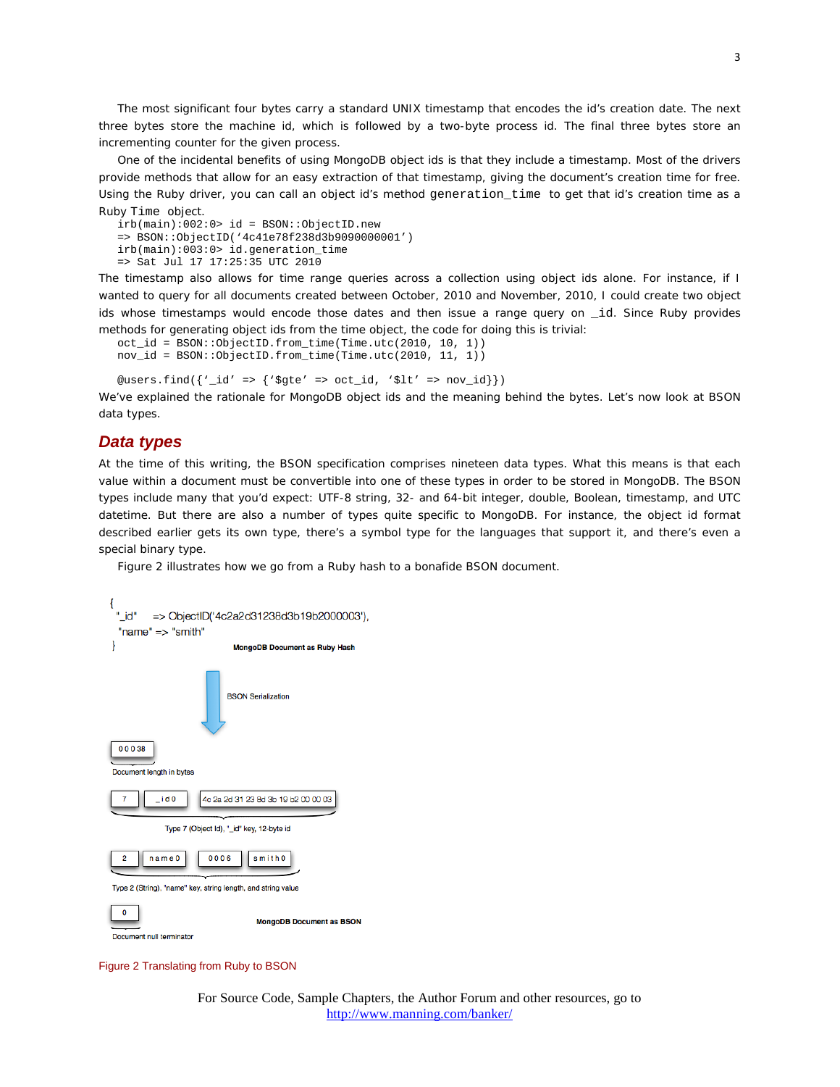The most significant four bytes carry a standard UNIX timestamp that encodes the id's creation date. The next three bytes store the machine id, which is followed by a two-byte process id. The final three bytes store an incrementing counter for the given process.

One of the incidental benefits of using MongoDB object ids is that they include a timestamp. Most of the drivers provide methods that allow for an easy extraction of that timestamp, giving the document's creation time for free. Using the Ruby driver, you can call an object id's method generation\_time to get that id's creation time as a Ruby Time object.

```
irb(main):002:0> id = BSON::ObjectID.new
=> BSON::ObjectID('4c41e78f238d3b9090000001')
irb(main):003:0> id.generation_time
=> Sat Jul 17 17:25:35 UTC 2010
```
The timestamp also allows for time range queries across a collection using object ids alone. For instance, if I wanted to query for all documents created between October, 2010 and November, 2010, I could create two object ids whose timestamps would encode those dates and then issue a range query on \_id. Since Ruby provides methods for generating object ids from the time object, the code for doing this is trivial:

```
oct_id = BSON::ObjectID.from_time(Time.utc(2010, 10, 1))
nov_id = BSON::ObjectID.from_time(Time.utc(2010, 11, 1))
```
@users.find( ${\lbrace \text{'}_id' \Rightarrow {\lbrace \text{'}\text{g}te' \Rightarrow oct_id, \text{'}\text{slt'} \Rightarrow nov_id \rbrace} \rbrace}$ )

We've explained the rationale for MongoDB object ids and the meaning behind the bytes. Let's now look at BSON data types.

#### *Data types*

At the time of this writing, the BSON specification comprises nineteen data types. What this means is that each value within a document must be convertible into one of these types in order to be stored in MongoDB. The BSON types include many that you'd expect: UTF-8 string, 32- and 64-bit integer, double, Boolean, timestamp, and UTC datetime. But there are also a number of types quite specific to MongoDB. For instance, the object id format described earlier gets its own type, there's a symbol type for the languages that support it, and there's even a special binary type.

Figure 2 illustrates how we go from a Ruby hash to a bonafide BSON document.



Figure 2 Translating from Ruby to BSON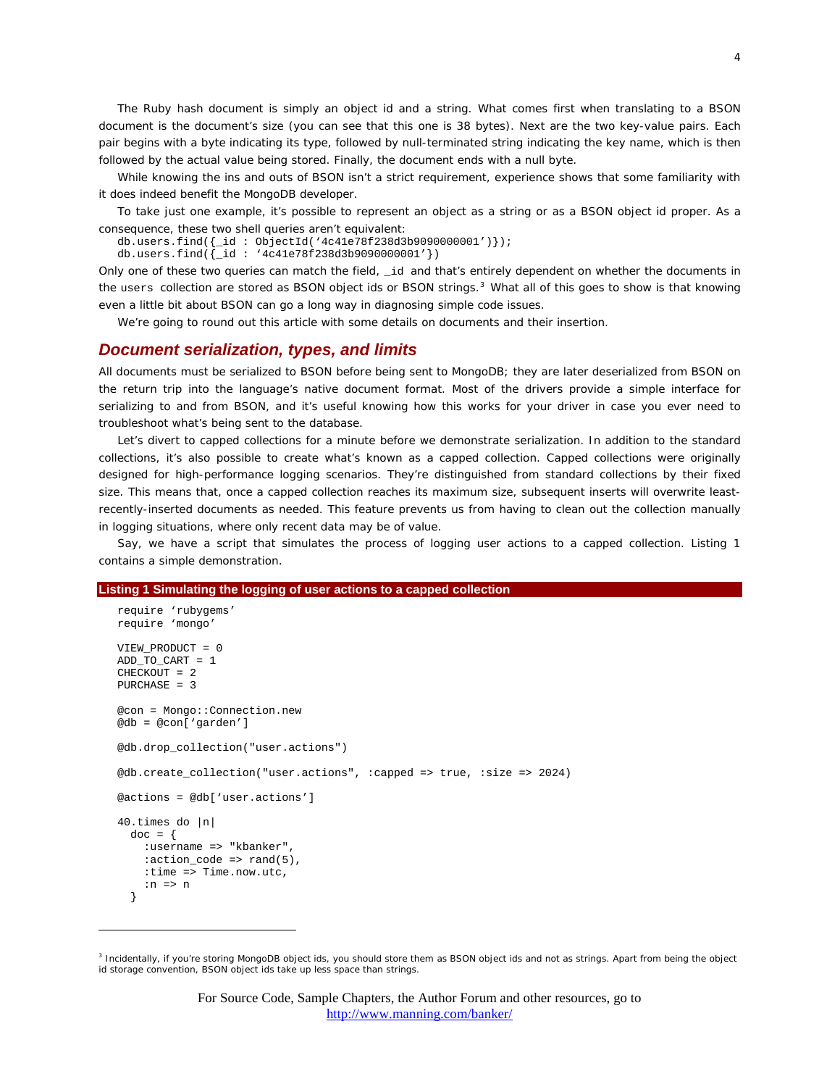The Ruby hash document is simply an object id and a string. What comes first when translating to a BSON document is the document's size (you can see that this one is 38 bytes). Next are the two key-value pairs. Each pair begins with a byte indicating its type, followed by null-terminated string indicating the key name, which is then followed by the actual value being stored. Finally, the document ends with a null byte.

While knowing the ins and outs of BSON isn't a strict requirement, experience shows that some familiarity with it does indeed benefit the MongoDB developer.

To take just one example, it's possible to represent an object as a string or as a BSON object id proper. As a consequence, these two shell queries aren't equivalent:

db.users.find({\_id : ObjectId('4c41e78f238d3b9090000001')});

db.users.find( $\{$ \_id : '4c41e78f238d3b9090000001'})

Only one of these two queries can match the field, \_id and that's entirely dependent on whether the documents in the users collection are stored as BSON object ids or BSON strings.<sup>[3](#page-0-2)</sup> What all of this goes to show is that knowing even a little bit about BSON can go a long way in diagnosing simple code issues.

We're going to round out this article with some details on documents and their insertion.

#### *Document serialization, types, and limits*

All documents must be serialized to BSON before being sent to MongoDB; they are later deserialized from BSON on the return trip into the language's native document format. Most of the drivers provide a simple interface for serializing to and from BSON, and it's useful knowing how this works for your driver in case you ever need to troubleshoot what's being sent to the database.

Let's divert to capped collections for a minute before we demonstrate serialization. In addition to the standard collections, it's also possible to create what's known as a capped collection. Capped collections were originally designed for high-performance logging scenarios. They're distinguished from standard collections by their fixed size. This means that, once a capped collection reaches its maximum size, subsequent inserts will overwrite leastrecently-inserted documents as needed. This feature prevents us from having to clean out the collection manually in logging situations, where only recent data may be of value.

Say, we have a script that simulates the process of logging user actions to a capped collection. Listing 1 contains a simple demonstration.

#### **Listing 1 Simulating the logging of user actions to a capped collection**

 $\overline{a}$ 

```
require 'rubygems'
require 'mongo'
VIEW PRODUCT = 0
ADD_TO_CART = 1CHECKOUT = 2PURCHASE = 3
@con = Mongo::Connection.new
@db = @con['garden']
@db.drop_collection("user.actions")
@db.create_collection("user.actions", :capped => true, :size => 2024)
@actions = @db['user.actions']
40.times do |n|
 doc = { :username => "kbanker",
    : action code => rand(5),
    :time => Time.now.utc,
    :n \Rightarrow n }
```
<span id="page-3-0"></span><sup>&</sup>lt;sup>3</sup> Incidentally, if you're storing MongoDB object ids, you should store them as BSON object ids and not as strings. Apart from being the object id storage convention, BSON object ids take up less space than strings.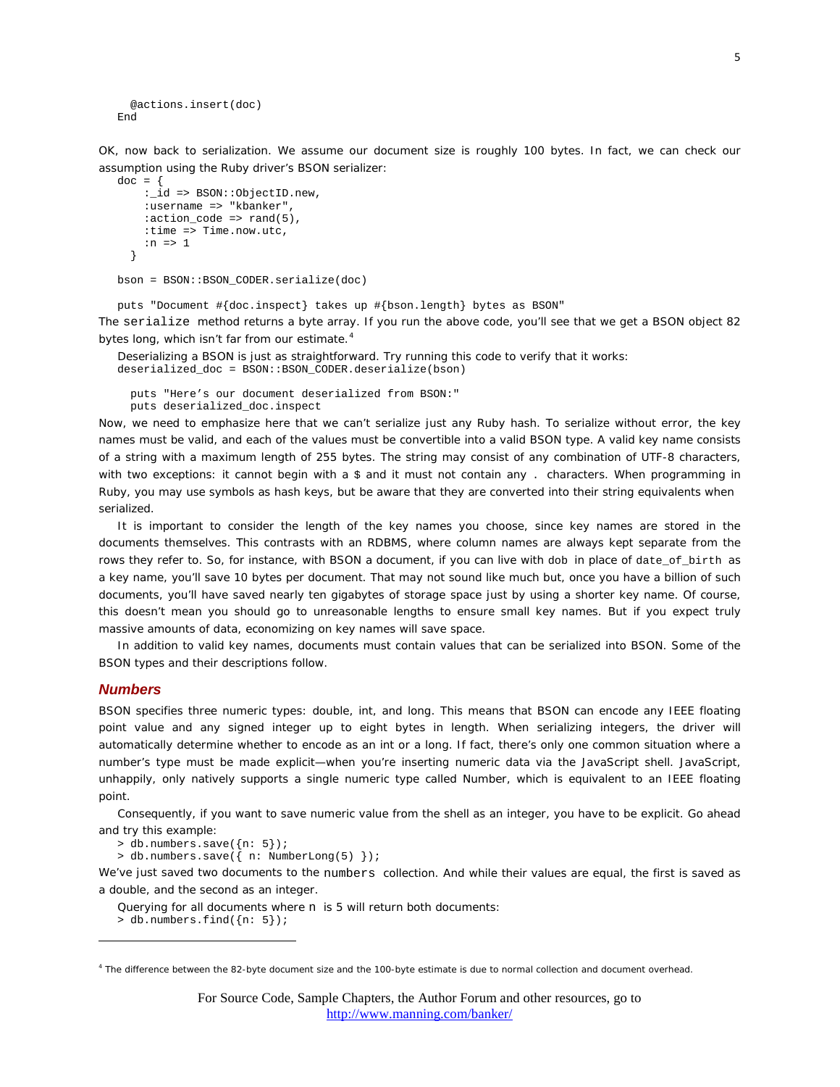```
 @actions.insert(doc)
End
```
OK, now back to serialization. We assume our document size is roughly 100 bytes. In fact, we can check our assumption using the Ruby driver's BSON serializer:

```
doc = \{: id => BSON::ObjectID.new,
     :username => "kbanker",
    : action code => rand(5),
     :time => Time.now.utc,
    :n \Rightarrow 1 }
```
bson = BSON::BSON\_CODER.serialize(doc)

puts "Document #{doc.inspect} takes up #{bson.length} bytes as BSON" The serialize method returns a byte array. If you run the above code, you'll see that we get a BSON object 82 bytes long, which isn't far from our estimate.<sup>[4](#page-3-0)</sup>

Deserializing a BSON is just as straightforward. Try running this code to verify that it works: deserialized\_doc = BSON::BSON\_CODER.deserialize(bson)

 puts "Here's our document deserialized from BSON:" puts deserialized\_doc.inspect

Now, we need to emphasize here that we can't serialize just any Ruby hash. To serialize without error, the key names must be valid, and each of the values must be convertible into a valid BSON type. A valid key name consists of a string with a maximum length of 255 bytes. The string may consist of any combination of UTF-8 characters, with two exceptions: it cannot begin with a \$ and it must not contain any . characters. When programming in Ruby, you may use symbols as hash keys, but be aware that they are converted into their string equivalents when serialized.

It is important to consider the length of the key names you choose, since key names are stored in the documents themselves. This contrasts with an RDBMS, where column names are always kept separate from the rows they refer to. So, for instance, with BSON a document, if you can live with dob in place of date\_of\_birth as a key name, you'll save 10 bytes per document. That may not sound like much but, once you have a billion of such documents, you'll have saved nearly ten gigabytes of storage space just by using a shorter key name. Of course, this doesn't mean you should go to unreasonable lengths to ensure small key names. But if you expect truly massive amounts of data, economizing on key names will save space.

In addition to valid key names, documents must contain values that can be serialized into BSON. Some of the BSON types and their descriptions follow.

#### *Numbers*

 $\overline{a}$ 

BSON specifies three numeric types: double, int, and long. This means that BSON can encode any IEEE floating point value and any signed integer up to eight bytes in length. When serializing integers, the driver will automatically determine whether to encode as an int or a long. If fact, there's only one common situation where a number's type must be made explicit—when you're inserting numeric data via the JavaScript shell. JavaScript, unhappily, only natively supports a single numeric type called Number, which is equivalent to an IEEE floating point.

Consequently, if you want to save numeric value from the shell as an integer, you have to be explicit. Go ahead and try this example:

> db.numbers.save({n: 5});

> db.numbers.save({ n: NumberLong(5) });

We've just saved two documents to the numbers collection. And while their values are equal, the first is saved as a double, and the second as an integer.

Querying for all documents where n is 5 will return both documents:

> db.numbers.find({n: 5});

<span id="page-4-0"></span><sup>4</sup> The difference between the 82-byte document size and the 100-byte estimate is due to normal collection and document overhead.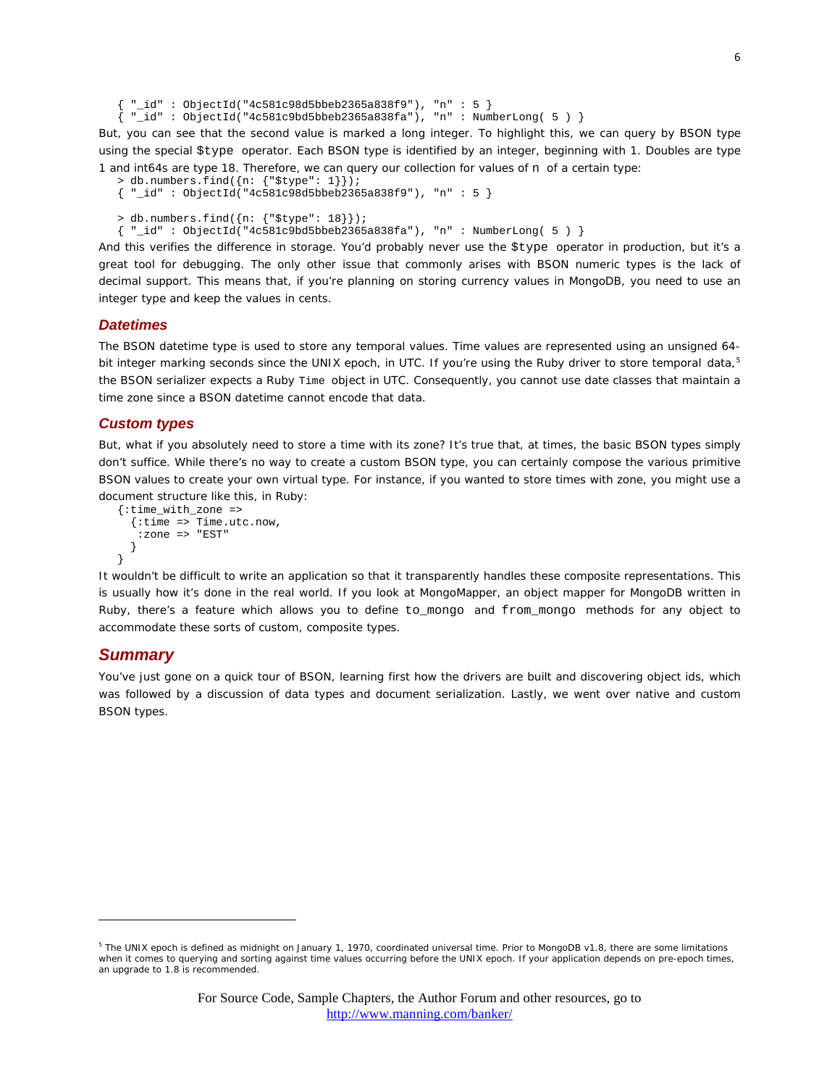```
{ "id" : ObjectId("4c581c98d5bbeb2365a838f9"), "n" : 5 }
{ \nightharpoonup \text{ind}^* : \text{ObjectId}("4c581c9bd5bbeb2365a838fa"); "n" : \text{NumberLong}( 5 ) \nightharpoonup }
```
But, you can see that the second value is marked a long integer. To highlight this, we can query by BSON type using the special \$type operator. Each BSON type is identified by an integer, beginning with 1. Doubles are type 1 and int64s are type 18. Therefore, we can query our collection for values of n of a certain type:

```
> db.numbers.find({n: {"$type": 1}});
\{ " id" : ObjectId("4c581c98d5bbeb2365a838f9"), "n" : 5 }
> db.numbers.find({n: {"$type": 18}});
{ \text{\textendash} : \text{ObjectId}(\text{``4c581c9bd5bbeb2365a838fa''})\text{, "n" : NumberLong( 5 ) } }
```
And this verifies the difference in storage. You'd probably never use the \$type operator in production, but it's a great tool for debugging. The only other issue that commonly arises with BSON numeric types is the lack of decimal support. This means that, if you're planning on storing currency values in MongoDB, you need to use an integer type and keep the values in cents.

#### *Datetimes*

The BSON datetime type is used to store any temporal values. Time values are represented using an unsigned 64- bit integer marking seconds since the UNIX epoch, in UTC. If you're using the Ruby driver to store temporal data,<sup>[5](#page-4-0)</sup> the BSON serializer expects a Ruby Time object in UTC. Consequently, you cannot use date classes that maintain a time zone since a BSON datetime cannot encode that data.

#### *Custom types*

But, what if you absolutely need to store a time with its zone? It's true that, at times, the basic BSON types simply don't suffice. While there's no way to create a custom BSON type, you can certainly compose the various primitive BSON values to create your own virtual type. For instance, if you wanted to store times with zone, you might use a document structure like this, in Ruby:

```
{:time_with_zone =>
   {:time => Time.utc.now,
    :zone => "EST"
   }
}
```
It wouldn't be difficult to write an application so that it transparently handles these composite representations. This is usually how it's done in the real world. If you look at MongoMapper, an object mapper for MongoDB written in Ruby, there's a feature which allows you to define to\_mongo and from\_mongo methods for any object to accommodate these sorts of custom, composite types.

#### *Summary*

 $\overline{a}$ 

You've just gone on a quick tour of BSON, learning first how the drivers are built and discovering object ids, which was followed by a discussion of data types and document serialization. Lastly, we went over native and custom BSON types.

<sup>&</sup>lt;sup>5</sup> The UNIX epoch is defined as midnight on January 1, 1970, coordinated universal time. Prior to MongoDB v1.8, there are some limitations when it comes to querying and sorting against time values occurring before the UNIX epoch. If your application depends on pre-epoch times, an upgrade to 1.8 is recommended.